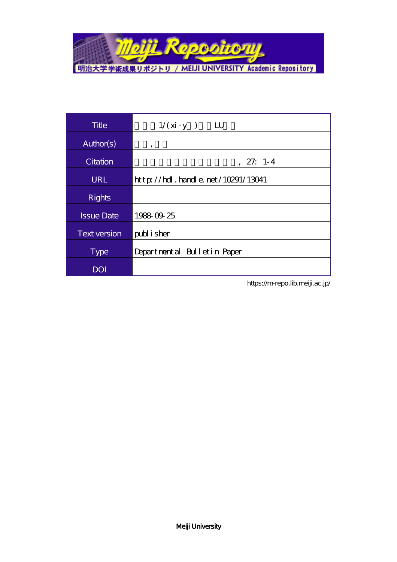

| <b>Title</b>        | $1/(\dot{x} - y)$<br>$\mathbf{L}$         |
|---------------------|-------------------------------------------|
| Author(s)           | ,                                         |
| Citation            | $, 27: 1-4$                               |
| URL                 | $http$ // $rdl$ . handle. net/10291/13041 |
| <b>Rights</b>       |                                           |
| <b>Issue Date</b>   | 1988 09 25                                |
| <b>Text version</b> | publisher                                 |
| <b>Type</b>         | Departmental Bulletin Paper               |
| <b>DOI</b>          |                                           |

https://m-repo.lib.meiji.ac.jp/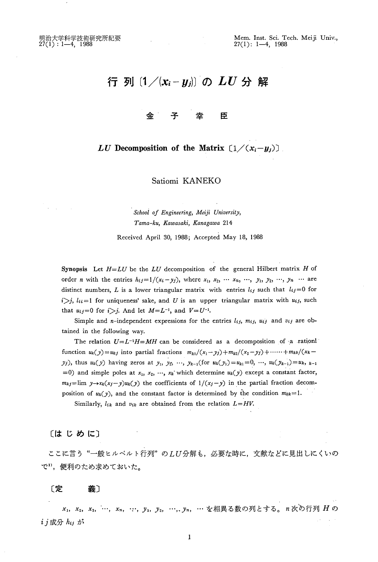# 行 列 $(1/(x_i-y_i))$ の $LU$ 分解

#### 金』 주 坴 臣

## LU Decomposition of the Matrix  $(1/(x_i-y_i))$

Satiomi KANEKO

School of Engineering, Meiji University, Tama-ku, Kawasaki, Kanagawa 214

Received April 30, 1988; Accepted May 18, 1988

Synopsis Let  $H=LU$  be the LU decomposition of the general Hilbert matrix H of order n with the entries  $h_{ij}=1/(x_i-y_j)$ , where  $x_1, x_2, \dots, x_n, x_j, y_1, y_2, \dots, y_n$  … are distinct numbers, L is a lower triangular matrix with entries  $l_{ij}$  such that  $l_{ij}=0$  for  $i>j$ ,  $l_{ii}=1$  for uniqueness' sake, and U is an upper triangular matrix with  $u_{ij}$ , such that  $u_{ij}=0$  for  $i>j$ . And let  $M=L^{-1}$ , and  $V=U^{-1}$ .

Simple and n-independent expressions for the entries  $l_{ij}$ ,  $m_{ij}$ ,  $u_{ij}$  and  $v_{ij}$  are obtained in the following way.

The relation  $U=L^{-1}H=MH$  can be considered as a decomposition of a rationl function  $u_k(y) = u_{kj}$  into partial fractions  $m_{k1}/(x_1-y_j)+m_{k2}/(x_2-y_j)+\cdots+ m_{kk}/(x_k-1)$  $y_j$ ), thus  $u_k(y)$  having zeros at  $y_1, y_2, ..., y_{k-1}$ (for  $u_k(y_1)=u_{k1}=0, ..., u_k(y_{k-1})=u_k,$   $k-1$ . =0) and simple poles at  $x_1, x_2, ..., x_k$  which determine  $u_k(y)$  except a constant factor,  $m_{kj}$ =Iim  $y \rightarrow x_k(x_j-y)u_k(y)$  the coefficients of  $1/(x_j-y)$  in the partial fraction decomposition of  $u_k(y)$ , and the constant factor is determined by the condition  $m_{kk}=1$ .

Similarly,  $l_{ik}$  and  $v_{ik}$  are obtained from the relation  $L=HV$ .

〔はじめに〕

**ここに言う"一般ヒルベルト行列"のLU分解も, 必要な時に, 文献などに見出しにくい。** で1),便利のため求めておいた。

〔定 義〕

x1, x<sub>3</sub>, x<sub>3</sub>, …, x<sub>n</sub>, …, y<sub>1</sub>, y<sub>2</sub>, …, y<sub>n</sub>, … を相異る数の列とする。n次の行列 H o  $i$ j成分 $h_{ij}$ が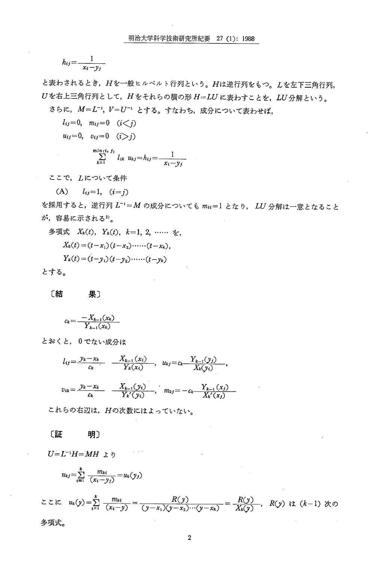$$
h_{ij} = \frac{1}{x_i - y_j}
$$

と表わされるとき、Hを一般ヒルベルト行列という。Hは逆行列をもつ。Lを左下三角行列, Uを右上三角行列として、Hをそれらの積の形 H=LUに表わすことを、LU分解という。

さらに、M=L-1, V=U-1 とする。すなわち、成分について表わせば、

 $l_{ij}=0, m_{ij}=0 \quad (i < j)$  $u_{ij}=0$ ,  $v_{ij}=0$   $(i>j)$  $\sum_{k=1}^{\min(i, j)} l_{ik} u_{kj} = h_{ij} = \frac{1}{x_i - y_j}$ 

ここで、 しについて条件

(A)  $l_{ij} = 1, (i = j)$ 

を採用すると、逆行列 L<sup>-1</sup>=M の成分についても mu=1 となり、 LU 分解は一意となること が、容易に示される2)。

多項式  $X_k(t)$ ,  $Y_k(t)$ ,  $k=1, 2, \ldots$  ½.  $X_k(t) = (t-x_1)(t-x_2) \cdots (t-x_k),$  $Y_k(t) = (t - y_1)(t - y_2) \cdots (t - y_k)$ とする。

[結

$$
c_k = \frac{-X_{k-1}(x_k)}{Y_{k-1}(x_k)}
$$

果〕

とおくと、0でない成分は

$$
l_{ij} = \frac{y_k - x_k}{c_k} \quad \frac{X_{k-1}(x_i)}{Y_k(x_i)}, \quad u_{kj} = c_k \frac{Y_{k-1}(y_j)}{X_k(y_i)},
$$
\n
$$
v_{ik} = \frac{y_k - x_k}{c_k} \quad \frac{X_{k-1}(y_i)}{Y_k'(y_i)}, \quad m_{kj} = -c_k \frac{Y_{k-1}(x_j)}{X_k'(x_j)}.
$$

これらの右辺は、Hの次数にはよっていない。

#### [証 明〕

 $U=L^{-1}H=MH$   $\downarrow$  b

$$
u_{kj} = \sum_{i=1}^k \frac{m_{ki}}{(x_i - y_j)} = u_k(y_j)
$$

$$
\sum \sum \sum \sum \frac{m_{kt}}{(x_i - y)} = \frac{R(y)}{(y - x_1)(y - x_2) \cdots (y - x_k)} = \frac{R(y)}{X_k(y)}, \quad R(y) \text{ is } (k-1) \text{ * to } \text{# } x_1 \text{ with } k \text{ is } (k-1) \text{ * } x_2 \text{ with } k \text{ is } (k-1) \text{ * } x_3 \text{ with } k \text{ is } (k-1) \text{ * } x_4 \text{ with } k \text{ is } (k-1) \text{ * } x_5 \text{ with } k \text{ is } (k-1) \text{ * } x_6 \text{ with } k \text{ is } (k-1) \text{ * } x_7 \text{ with } k \text{ is } (k-1) \text{ * } x_8 \text{ with } k \text{ is } (k-1) \text{ * } x_9 \text{ with } k \text{ is } (k-1) \text{ * } x_9 \text{ with } k \text{ is } (k-1) \text{ * } x_9 \text{ with } k \text{ is } (k-1) \text{ * } x_9 \text{ with } k \text{ is } (k-1) \text{ * } x_9 \text{ with } k \text{ is } (k-1) \text{ * } x_9 \text{ with } k \text{ is } (k-1) \text{ * } x_9 \text{ with } k \text{ is } (k-1) \text{ * } x_9 \text{ with } k \text{ is } (k-1) \text{ * } x_9 \text{ with } k \text{ is } (k-1) \text{ * } x_9 \text{ with } k \text{ is } (k-1) \text{ * } x_9 \text{ with } k \text{ is } (k-1) \text{ * } x_9 \text{ with } k \text{ is } (k-1) \text{ * } x_9 \text{ with } k \text{ is } (k-1) \text{ * } x_9 \text{ with } k \text{ is } (k-1) \text{ * } x_9 \text{ with } k \text{ is } (k-1) \text{ * } x_9 \text{ with } k \text{ is } (k-1) \text{ * } x_9 \text{ with } k \text{ is } (k-1) \text{ * } x_9 \text{ with } k \text{ is } (k-1) \text{ * } x_9 \text{ with } k \text{ is } (k-1) \text{ * } x_9 \text{ with } k \text{ is } (k-1) \text{
$$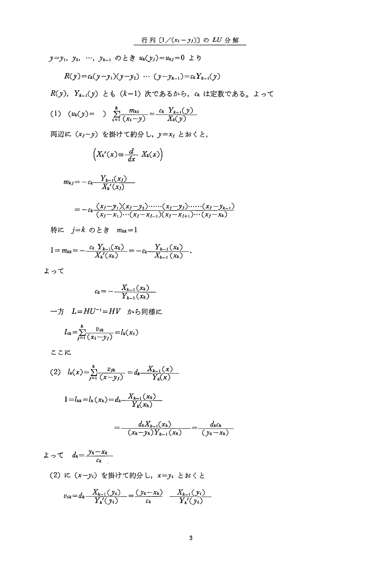$y = y_1, y_2, ..., y_{k-1}$  のとき  $u_k(y_j) = u_{kj} = 0$  より  $R(\nu) = c_k(\nu - \nu_1)(\nu - \nu_2) \cdots (\nu - \nu_{k-1}) = c_k Y_{k-1}(\nu)$  $R(y)$ ,  $Y_{k-1}(y) \geq \delta$  (k-1)次であるから, ckは定数である。よって (1)  $(u_k(y)) = \sum_{k=1}^{k} \frac{m_{ki}}{(x_i-y)} = \frac{c_k Y_{k-1}(y)}{X_k(y)}$ 両辺に  $(x_j-y)$  を掛けて約分し,  $y=x_j$  とおくと,  $=-c_k \frac{(x_j-y_1)(x_j-y_2) \cdots (x_j-y_j) \cdots (x_j-y_{k-1})}{(x_j-x_1)\cdots (x_j-x_{k-1})(x_j-x_{k-1}) \cdots (x_j-x_{k-1})}$ 特に  $j=k$  のとき  $m_{kk}=1$ 1  $c_k Y_{k-1}(x_k)$   $Y_{k-1}(x_k)$  $X_k'(x_k)$   $X_{k-1}(x_k)$ よって  $c_k = -\frac{X_{k-1}(x_k)}{Y_{k-1}(x_k)}$ 一方  $L=HU^{-1}=HV$  から同様に  $l_{ik} = \sum_{i=1}^{k} \frac{v_{ik}}{(x_i - v_i)} = l_k(x_i)$  ここに (2)  $l_k(x) = \sum_{k=1}^{k} \frac{v_{jk}}{(x-v_k)} = d_k \frac{X_{k-1}(x)}{Y_{k}(x)}$  $1 = l_{kk} = l_k(x_k) = d_k - \frac{X_{k-1}(x_k)}{Y_k(x_k)}$  $d_k X_{k-1}(x_k)$   $d_k c$  $(x_k-v_k)Y_{k+1}(x_k)$   $(y_k-v_k)Y_{k+1}(x_k)$  $\mathcal{F} \cap \mathcal{T}$   $d_k = \frac{\mathcal{Y}_k - \mathcal{X}_k}{\sigma_k}$  $c_k$  $(2)$ に $(x - y_i)$ を掛けて約分し,  $x = y_i$ とおくと  $v_{ik} = d_k - \frac{X_{k-1}(y_i)}{Y_{k}(y_i)} = \frac{(y_k - x_k)}{c_k} - \frac{X_{k-1}(y_i)}{Y_{k}'(y_i)}$  $\left(X_k'(x) \equiv \frac{d}{dx} X_k(x)\right)$  $m_{kj}=-c_k- \frac{Y_{k-1}(x_j)}{X_k'(x_j)}$